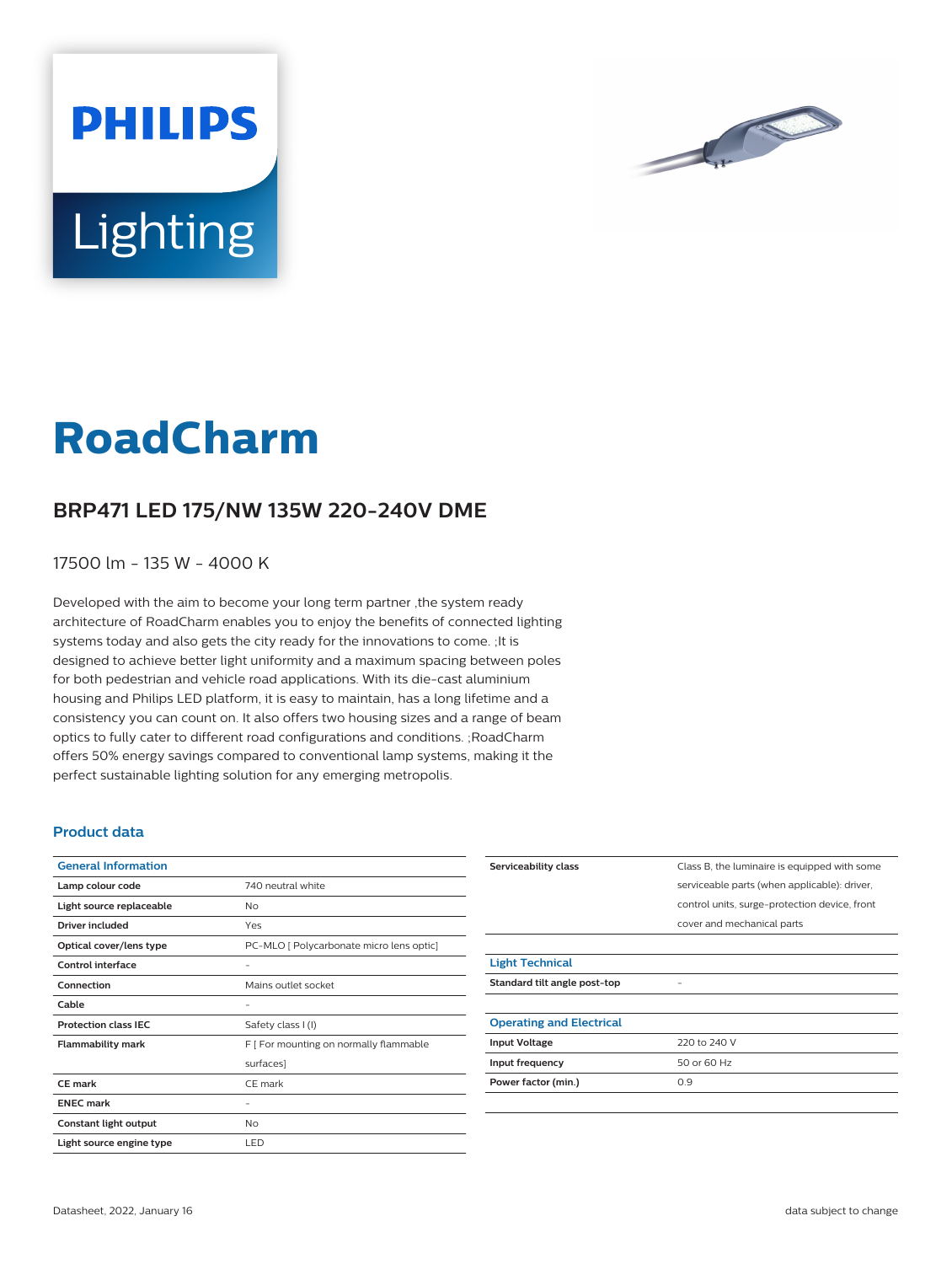

# **Lighting**

**PHILIPS** 

# **RoadCharm**

## **BRP471 LED 175/NW 135W 220-240V DME**

17500 lm - 135 W - 4000 K

Developed with the aim to become your long term partner ,the system ready architecture of RoadCharm enables you to enjoy the benefits of connected lighting systems today and also gets the city ready for the innovations to come. ;It is designed to achieve better light uniformity and a maximum spacing between poles for both pedestrian and vehicle road applications. With its die-cast aluminium housing and Philips LED platform, it is easy to maintain, has a long lifetime and a consistency you can count on. It also offers two housing sizes and a range of beam optics to fully cater to different road configurations and conditions. ;RoadCharm offers 50% energy savings compared to conventional lamp systems, making it the perfect sustainable lighting solution for any emerging metropolis.

#### **Product data**

| <b>General Information</b>  |                                          |
|-----------------------------|------------------------------------------|
| Lamp colour code            | 740 neutral white                        |
| Light source replaceable    | No                                       |
| <b>Driver included</b>      | Yes                                      |
| Optical cover/lens type     | PC-MLO [ Polycarbonate micro lens optic] |
| Control interface           |                                          |
| Connection                  | Mains outlet socket                      |
| Cable                       |                                          |
| <b>Protection class IEC</b> | Safety class I (I)                       |
| <b>Flammability mark</b>    | F [ For mounting on normally flammable   |
|                             | surfaces]                                |
| <b>CE</b> mark              | CE mark                                  |
| <b>ENEC mark</b>            |                                          |
| Constant light output       | <b>No</b>                                |
| Light source engine type    | LED                                      |

| Serviceability class            | Class B, the luminaire is equipped with some  |
|---------------------------------|-----------------------------------------------|
|                                 | serviceable parts (when applicable): driver,  |
|                                 | control units, surge-protection device, front |
|                                 | cover and mechanical parts                    |
|                                 |                                               |
| <b>Light Technical</b>          |                                               |
| Standard tilt angle post-top    |                                               |
|                                 |                                               |
| <b>Operating and Electrical</b> |                                               |
| <b>Input Voltage</b>            | 220 to 240 V                                  |
| Input frequency                 | 50 or 60 Hz                                   |
| Power factor (min.)             | 0.9                                           |
|                                 |                                               |